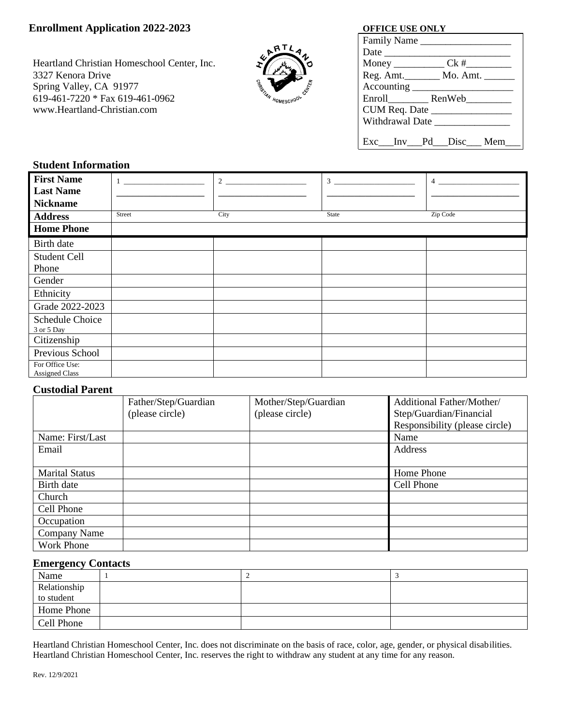# **Enrollment Application 2022-2023 OFFICE USE ONLY**

Heartland Christian Homeschool Center, Inc. 3327 Kenora Drive Spring Valley, CA 91977 619-461-7220 \* Fax 619-461-0962 www.Heartland-Christian.com



| Family Name   |                                       |
|---------------|---------------------------------------|
|               |                                       |
|               |                                       |
|               | Reg. Amt. __________ Mo. Amt. _______ |
| Accounting    |                                       |
|               | Enroll RenWeb                         |
| CUM Req. Date |                                       |
|               | Withdrawal Date                       |
|               |                                       |
|               | Exc__Inv__Pd__Disc__Mem               |

## **Student Information**

| <b>First Name</b>                        |        | 2    | 3     | $\overline{4}$ |
|------------------------------------------|--------|------|-------|----------------|
| <b>Last Name</b>                         |        |      |       |                |
| <b>Nickname</b>                          |        |      |       |                |
| <b>Address</b>                           | Street | City | State | Zip Code       |
| <b>Home Phone</b>                        |        |      |       |                |
| Birth date                               |        |      |       |                |
| <b>Student Cell</b>                      |        |      |       |                |
| Phone                                    |        |      |       |                |
| Gender                                   |        |      |       |                |
| Ethnicity                                |        |      |       |                |
| Grade 2022-2023                          |        |      |       |                |
| Schedule Choice<br>3 or 5 Day            |        |      |       |                |
| Citizenship                              |        |      |       |                |
| Previous School                          |        |      |       |                |
| For Office Use:<br><b>Assigned Class</b> |        |      |       |                |

## **Custodial Parent**

|                       | Father/Step/Guardian | Mother/Step/Guardian | Additional Father/Mother/      |
|-----------------------|----------------------|----------------------|--------------------------------|
|                       | (please circle)      | (please circle)      | Step/Guardian/Financial        |
|                       |                      |                      | Responsibility (please circle) |
| Name: First/Last      |                      |                      | Name                           |
| Email                 |                      |                      | Address                        |
|                       |                      |                      |                                |
| <b>Marital Status</b> |                      |                      | Home Phone                     |
| Birth date            |                      |                      | Cell Phone                     |
| Church                |                      |                      |                                |
| Cell Phone            |                      |                      |                                |
| Occupation            |                      |                      |                                |
| Company Name          |                      |                      |                                |
| <b>Work Phone</b>     |                      |                      |                                |

### **Emergency Contacts**

| Name         |  |  |
|--------------|--|--|
| Relationship |  |  |
| to student   |  |  |
| Home Phone   |  |  |
| Cell Phone   |  |  |

Heartland Christian Homeschool Center, Inc. does not discriminate on the basis of race, color, age, gender, or physical disabilities. Heartland Christian Homeschool Center, Inc. reserves the right to withdraw any student at any time for any reason.